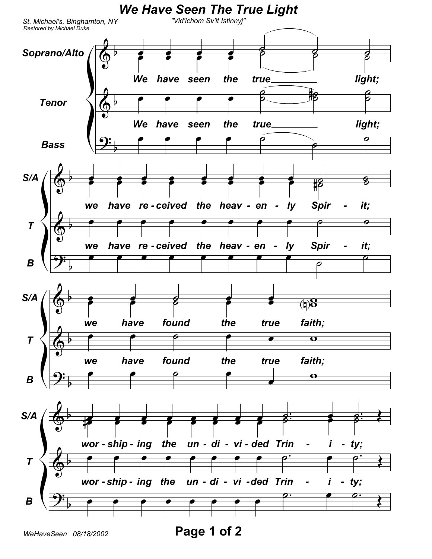

WeHaveSeen 08/18/2002

Page 1 of 2